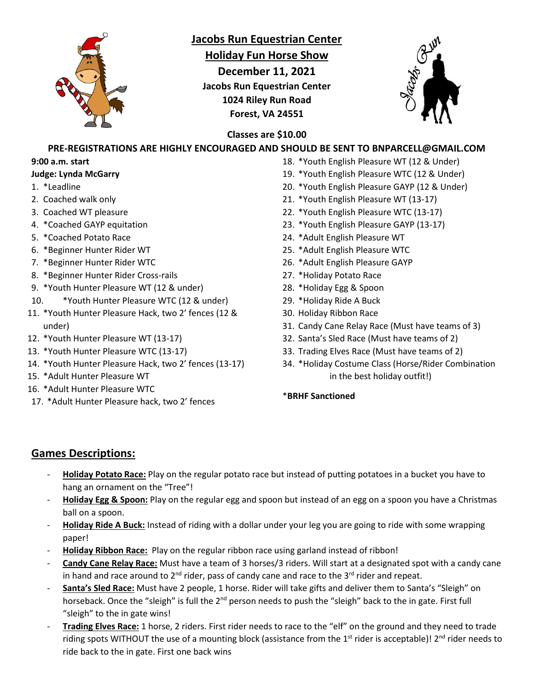

# **Jacobs Run Equestrian Center**

**Holiday Fun Horse Show**

**December 11, 2021 Jacobs Run Equestrian Center 1024 Riley Run Road Forest, VA 24551**



### **Classes are \$10.00**

# **PRE-REGISTRATIONS ARE HIGHLY ENCOURAGED AND SHOULD BE SENT TO BNPARCELL@GMAIL.COM**

#### **9:00 a.m. start**

#### **Judge: Lynda McGarry**

- 1. \*Leadline
- 2. Coached walk only
- 3. Coached WT pleasure
- 4. \*Coached GAYP equitation
- 5. \*Coached Potato Race
- 6. \*Beginner Hunter Rider WT
- 7. \*Beginner Hunter Rider WTC
- 8. \*Beginner Hunter Rider Cross-rails
- 9. \*Youth Hunter Pleasure WT (12 & under)
- 10. \*Youth Hunter Pleasure WTC (12 & under)
- 11. \*Youth Hunter Pleasure Hack, two 2' fences (12 & under)
- 12. \*Youth Hunter Pleasure WT (13-17)
- 13. \*Youth Hunter Pleasure WTC (13-17)
- 14. \*Youth Hunter Pleasure Hack, two 2' fences (13-17)
- 15. \*Adult Hunter Pleasure WT
- 16. \*Adult Hunter Pleasure WTC
- 17. \*Adult Hunter Pleasure hack, two 2' fences
- 18. \*Youth English Pleasure WT (12 & Under)
	- 19. \*Youth English Pleasure WTC (12 & Under)
	- 20. \*Youth English Pleasure GAYP (12 & Under)
	- 21. \*Youth English Pleasure WT (13-17)
	- 22. \*Youth English Pleasure WTC (13-17)
	- 23. \*Youth English Pleasure GAYP (13-17)
	- 24. \*Adult English Pleasure WT
	- 25. \*Adult English Pleasure WTC
	- 26. \*Adult English Pleasure GAYP
	- 27. \*Holiday Potato Race
	- 28. \*Holiday Egg & Spoon
	- 29. \*Holiday Ride A Buck
	- 30. Holiday Ribbon Race
	- 31. Candy Cane Relay Race (Must have teams of 3)
	- 32. Santa's Sled Race (Must have teams of 2)
	- 33. Trading Elves Race (Must have teams of 2)
	- 34. \*Holiday Costume Class (Horse/Rider Combination in the best holiday outfit!)

#### \***BRHF Sanctioned**

### **Games Descriptions:**

- **Holiday Potato Race:** Play on the regular potato race but instead of putting potatoes in a bucket you have to hang an ornament on the "Tree"!
- **Holiday Egg & Spoon:** Play on the regular egg and spoon but instead of an egg on a spoon you have a Christmas ball on a spoon.
- **Holiday Ride A Buck:** Instead of riding with a dollar under your leg you are going to ride with some wrapping paper!
- **Holiday Ribbon Race:** Play on the regular ribbon race using garland instead of ribbon!
- **Candy Cane Relay Race:** Must have a team of 3 horses/3 riders. Will start at a designated spot with a candy cane in hand and race around to  $2^{nd}$  rider, pass of candy cane and race to the  $3^{rd}$  rider and repeat.
- **Santa's Sled Race:** Must have 2 people, 1 horse. Rider will take gifts and deliver them to Santa's "Sleigh" on horseback. Once the "sleigh" is full the 2<sup>nd</sup> person needs to push the "sleigh" back to the in gate. First full "sleigh" to the in gate wins!
- **Trading Elves Race:** 1 horse, 2 riders. First rider needs to race to the "elf" on the ground and they need to trade riding spots WITHOUT the use of a mounting block (assistance from the 1<sup>st</sup> rider is acceptable)! 2<sup>nd</sup> rider needs to ride back to the in gate. First one back wins